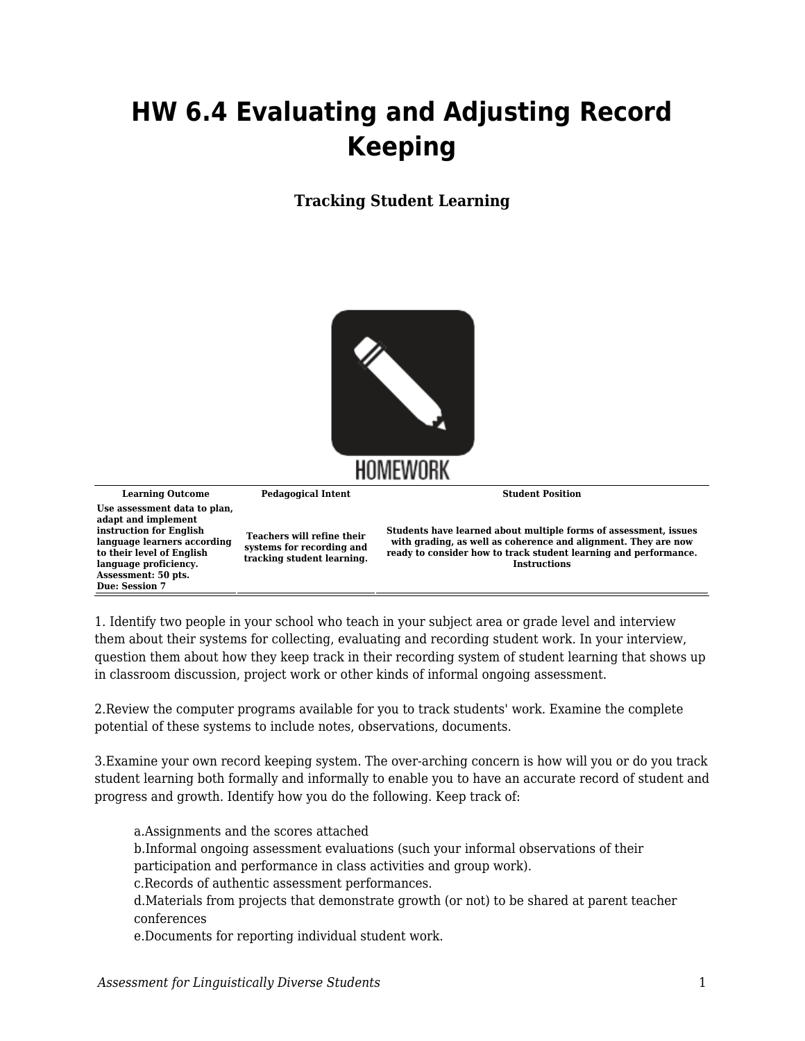## **HW 6.4 Evaluating and Adjusting Record Keeping**

**Tracking Student Learning**



**Learning Outcome Pedagogical Intent Student Position Use assessment data to plan, adapt and implement instruction for English language learners according to their level of English language proficiency. Assessment: 50 pts. Due: Session 7 Teachers will refine their systems for recording and tracking student learning. Students have learned about multiple forms of assessment, issues with grading, as well as coherence and alignment. They are now ready to consider how to track student learning and performance. Instructions**

1. Identify two people in your school who teach in your subject area or grade level and interview them about their systems for collecting, evaluating and recording student work. In your interview, question them about how they keep track in their recording system of student learning that shows up in classroom discussion, project work or other kinds of informal ongoing assessment.

2.Review the computer programs available for you to track students' work. Examine the complete potential of these systems to include notes, observations, documents.

3.Examine your own record keeping system. The over-arching concern is how will you or do you track student learning both formally and informally to enable you to have an accurate record of student and progress and growth. Identify how you do the following. Keep track of:

a.Assignments and the scores attached b.Informal ongoing assessment evaluations (such your informal observations of their participation and performance in class activities and group work). c.Records of authentic assessment performances. d.Materials from projects that demonstrate growth (or not) to be shared at parent teacher

e.Documents for reporting individual student work.

conferences